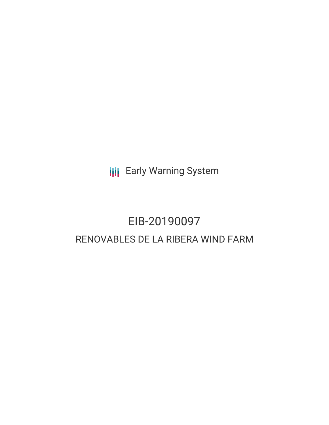**III** Early Warning System

# EIB-20190097 RENOVABLES DE LA RIBERA WIND FARM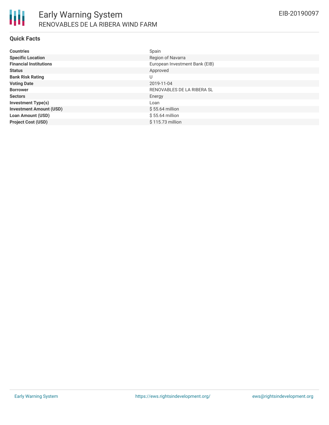#### **Quick Facts**

| <b>Countries</b>               | Spain                          |
|--------------------------------|--------------------------------|
| <b>Specific Location</b>       | Region of Navarra              |
| <b>Financial Institutions</b>  | European Investment Bank (EIB) |
| <b>Status</b>                  | Approved                       |
| <b>Bank Risk Rating</b>        | U                              |
| <b>Voting Date</b>             | 2019-11-04                     |
| <b>Borrower</b>                | RENOVABLES DE LA RIBERA SL     |
| <b>Sectors</b>                 | Energy                         |
| <b>Investment Type(s)</b>      | Loan                           |
| <b>Investment Amount (USD)</b> | $$55.64$ million               |
| <b>Loan Amount (USD)</b>       | $$55.64$ million               |
| <b>Project Cost (USD)</b>      | \$115.73 million               |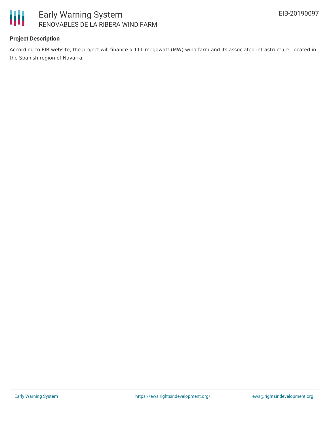

## Early Warning System RENOVABLES DE LA RIBERA WIND FARM

#### **Project Description**

According to EIB website, the project will finance a 111-megawatt (MW) wind farm and its associated infrastructure, located in the Spanish region of Navarra.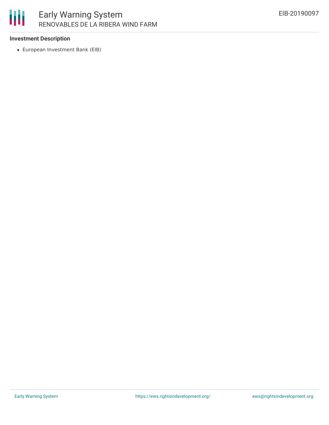

#### **Investment Description**

European Investment Bank (EIB)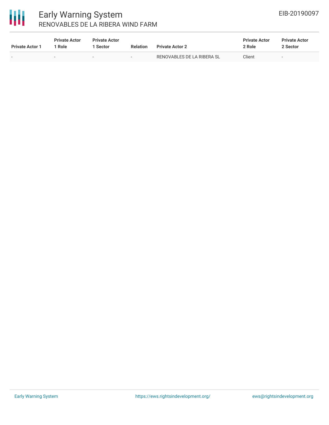

### Early Warning System RENOVABLES DE LA RIBERA WIND FARM

| <b>Private Actor 1</b> | <b>Private Actor</b><br>1 Role | <b>Private Actor</b><br>1 Sector | <b>Relation</b> | <b>Private Actor 2</b>     | <b>Private Actor</b><br>2 Role | <b>Private Actor</b><br>2 Sector |
|------------------------|--------------------------------|----------------------------------|-----------------|----------------------------|--------------------------------|----------------------------------|
| $\sim$                 |                                | $\sim$                           | $\sim$          | RENOVABLES DE LA RIBERA SL | Client                         | $\overline{\phantom{a}}$         |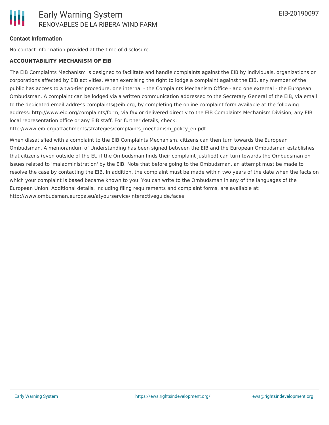#### **Contact Information**

No contact information provided at the time of disclosure.

#### **ACCOUNTABILITY MECHANISM OF EIB**

The EIB Complaints Mechanism is designed to facilitate and handle complaints against the EIB by individuals, organizations or corporations affected by EIB activities. When exercising the right to lodge a complaint against the EIB, any member of the public has access to a two-tier procedure, one internal - the Complaints Mechanism Office - and one external - the European Ombudsman. A complaint can be lodged via a written communication addressed to the Secretary General of the EIB, via email to the dedicated email address complaints@eib.org, by completing the online complaint form available at the following address: http://www.eib.org/complaints/form, via fax or delivered directly to the EIB Complaints Mechanism Division, any EIB local representation office or any EIB staff. For further details, check:

http://www.eib.org/attachments/strategies/complaints\_mechanism\_policy\_en.pdf

When dissatisfied with a complaint to the EIB Complaints Mechanism, citizens can then turn towards the European Ombudsman. A memorandum of Understanding has been signed between the EIB and the European Ombudsman establishes that citizens (even outside of the EU if the Ombudsman finds their complaint justified) can turn towards the Ombudsman on issues related to 'maladministration' by the EIB. Note that before going to the Ombudsman, an attempt must be made to resolve the case by contacting the EIB. In addition, the complaint must be made within two years of the date when the facts on which your complaint is based became known to you. You can write to the Ombudsman in any of the languages of the European Union. Additional details, including filing requirements and complaint forms, are available at: http://www.ombudsman.europa.eu/atyourservice/interactiveguide.faces